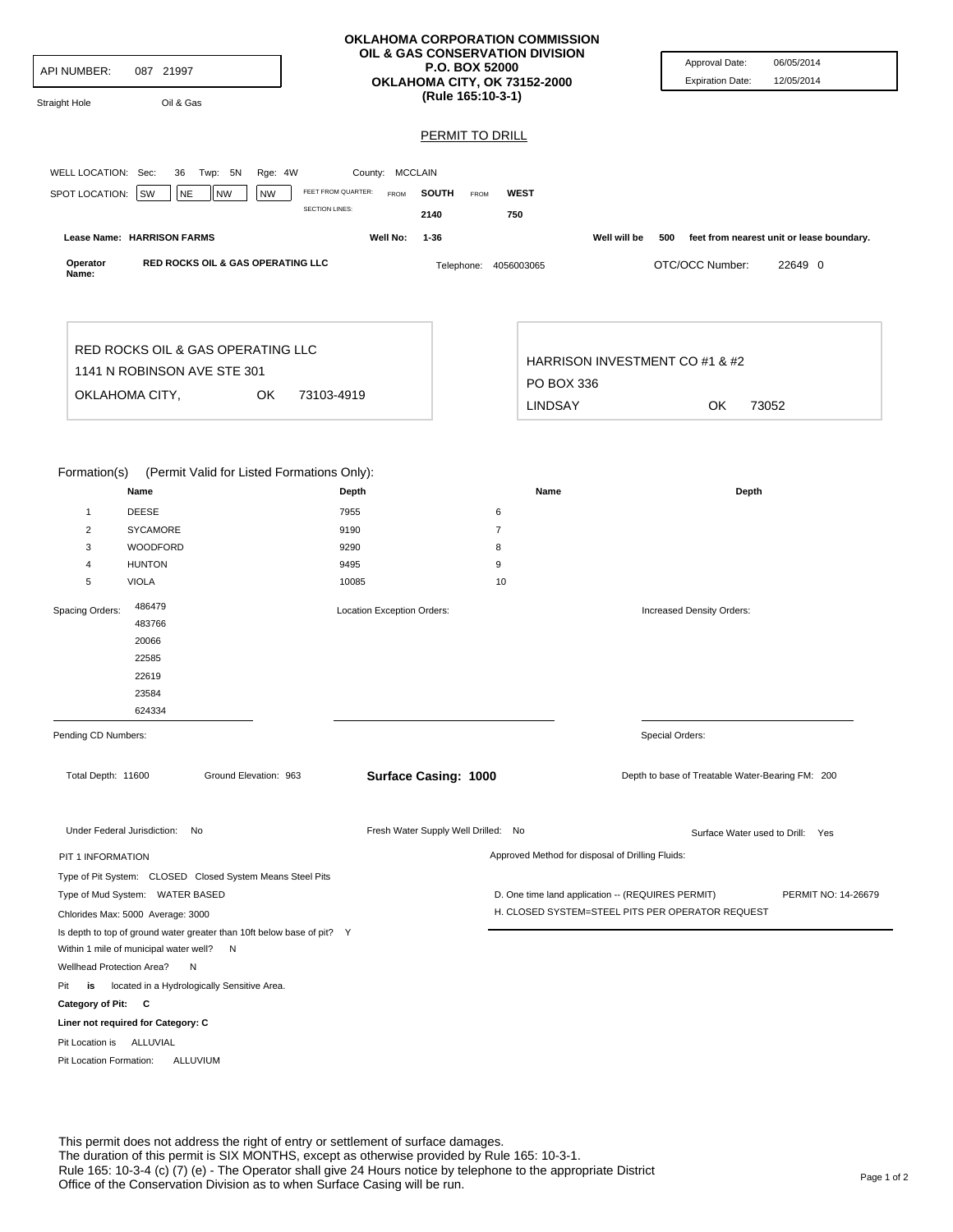| API NUMBER:<br>087 21997<br>Oil & Gas<br><b>Straight Hole</b>                                                                                                                                                                                                        | OKLAHOMA CORPORATION COMMISSION<br>OIL & GAS CONSERVATION DIVISION<br>P.O. BOX 52000<br>OKLAHOMA CITY, OK 73152-2000<br>(Rule 165:10-3-1) |                                     |                                                   | Approval Date:<br><b>Expiration Date:</b> | 06/05/2014<br>12/05/2014                         |                                           |
|----------------------------------------------------------------------------------------------------------------------------------------------------------------------------------------------------------------------------------------------------------------------|-------------------------------------------------------------------------------------------------------------------------------------------|-------------------------------------|---------------------------------------------------|-------------------------------------------|--------------------------------------------------|-------------------------------------------|
|                                                                                                                                                                                                                                                                      |                                                                                                                                           | <b>PERMIT TO DRILL</b>              |                                                   |                                           |                                                  |                                           |
| WELL LOCATION: Sec:                                                                                                                                                                                                                                                  |                                                                                                                                           |                                     |                                                   |                                           |                                                  |                                           |
| 36 Twp: 5N<br>Rge: 4W                                                                                                                                                                                                                                                | County: MCCLAIN<br>FEET FROM QUARTER:                                                                                                     |                                     |                                                   |                                           |                                                  |                                           |
| SPOT LOCATION:<br>SW<br><b>NE</b><br><b>NW</b><br><b>NW</b>                                                                                                                                                                                                          | FROM<br><b>SECTION LINES:</b>                                                                                                             | <b>SOUTH</b><br>FROM                | <b>WEST</b>                                       |                                           |                                                  |                                           |
|                                                                                                                                                                                                                                                                      |                                                                                                                                           | 2140                                | 750                                               |                                           |                                                  |                                           |
| Lease Name: HARRISON FARMS                                                                                                                                                                                                                                           | Well No:                                                                                                                                  | $1 - 36$                            |                                                   | Well will be                              | 500                                              | feet from nearest unit or lease boundary. |
| RED ROCKS OIL & GAS OPERATING LLC<br>Operator<br>Name:                                                                                                                                                                                                               |                                                                                                                                           | Telephone: 4056003065               |                                                   |                                           | OTC/OCC Number:                                  | 22649 0                                   |
| RED ROCKS OIL & GAS OPERATING LLC<br>1141 N ROBINSON AVE STE 301<br>OKLAHOMA CITY,<br>0K                                                                                                                                                                             | 73103-4919                                                                                                                                | PO BOX 336                          |                                                   |                                           | HARRISON INVESTMENT CO #1 & #2                   |                                           |
|                                                                                                                                                                                                                                                                      |                                                                                                                                           |                                     | LINDSAY                                           |                                           | OK                                               | 73052                                     |
| Formation(s)<br>(Permit Valid for Listed Formations Only):<br>Name<br><b>DEESE</b><br>$\mathbf{1}$<br>2<br>SYCAMORE<br>WOODFORD<br>3<br><b>HUNTON</b><br>4<br><b>VIOLA</b><br>5<br>486479<br>Spacing Orders:<br>483766<br>20066<br>22585<br>22619<br>23584<br>624334 | Depth<br>7955<br>9190<br>9290<br>9495<br>10085<br>Location Exception Orders:                                                              |                                     | Name<br>6<br>$\overline{7}$<br>8<br>9<br>10       |                                           | Depth<br>Increased Density Orders:               |                                           |
| Pending CD Numbers:                                                                                                                                                                                                                                                  |                                                                                                                                           |                                     |                                                   |                                           | Special Orders:                                  |                                           |
| Total Depth: 11600<br>Ground Elevation: 963                                                                                                                                                                                                                          |                                                                                                                                           | Surface Casing: 1000                |                                                   |                                           | Depth to base of Treatable Water-Bearing FM: 200 |                                           |
| Under Federal Jurisdiction: No                                                                                                                                                                                                                                       |                                                                                                                                           | Fresh Water Supply Well Drilled: No |                                                   |                                           |                                                  | Surface Water used to Drill: Yes          |
| PIT 1 INFORMATION                                                                                                                                                                                                                                                    |                                                                                                                                           |                                     | Approved Method for disposal of Drilling Fluids:  |                                           |                                                  |                                           |
| Type of Pit System: CLOSED Closed System Means Steel Pits                                                                                                                                                                                                            |                                                                                                                                           |                                     |                                                   |                                           |                                                  |                                           |
| Type of Mud System: WATER BASED                                                                                                                                                                                                                                      |                                                                                                                                           |                                     | D. One time land application -- (REQUIRES PERMIT) |                                           | PERMIT NO: 14-26679                              |                                           |
| Chlorides Max: 5000 Average: 3000                                                                                                                                                                                                                                    |                                                                                                                                           |                                     | H. CLOSED SYSTEM=STEEL PITS PER OPERATOR REQUEST  |                                           |                                                  |                                           |
| Is depth to top of ground water greater than 10ft below base of pit? Y<br>Within 1 mile of municipal water well? N                                                                                                                                                   |                                                                                                                                           |                                     |                                                   |                                           |                                                  |                                           |
| Wellhead Protection Area?<br>N<br>Pit<br>is<br>located in a Hydrologically Sensitive Area.                                                                                                                                                                           |                                                                                                                                           |                                     |                                                   |                                           |                                                  |                                           |
| Category of Pit: C                                                                                                                                                                                                                                                   |                                                                                                                                           |                                     |                                                   |                                           |                                                  |                                           |
| Liner not required for Category: C                                                                                                                                                                                                                                   |                                                                                                                                           |                                     |                                                   |                                           |                                                  |                                           |
| Pit Location is ALLUVIAL                                                                                                                                                                                                                                             |                                                                                                                                           |                                     |                                                   |                                           |                                                  |                                           |
| Pit Location Formation:<br>ALLUVIUM                                                                                                                                                                                                                                  |                                                                                                                                           |                                     |                                                   |                                           |                                                  |                                           |